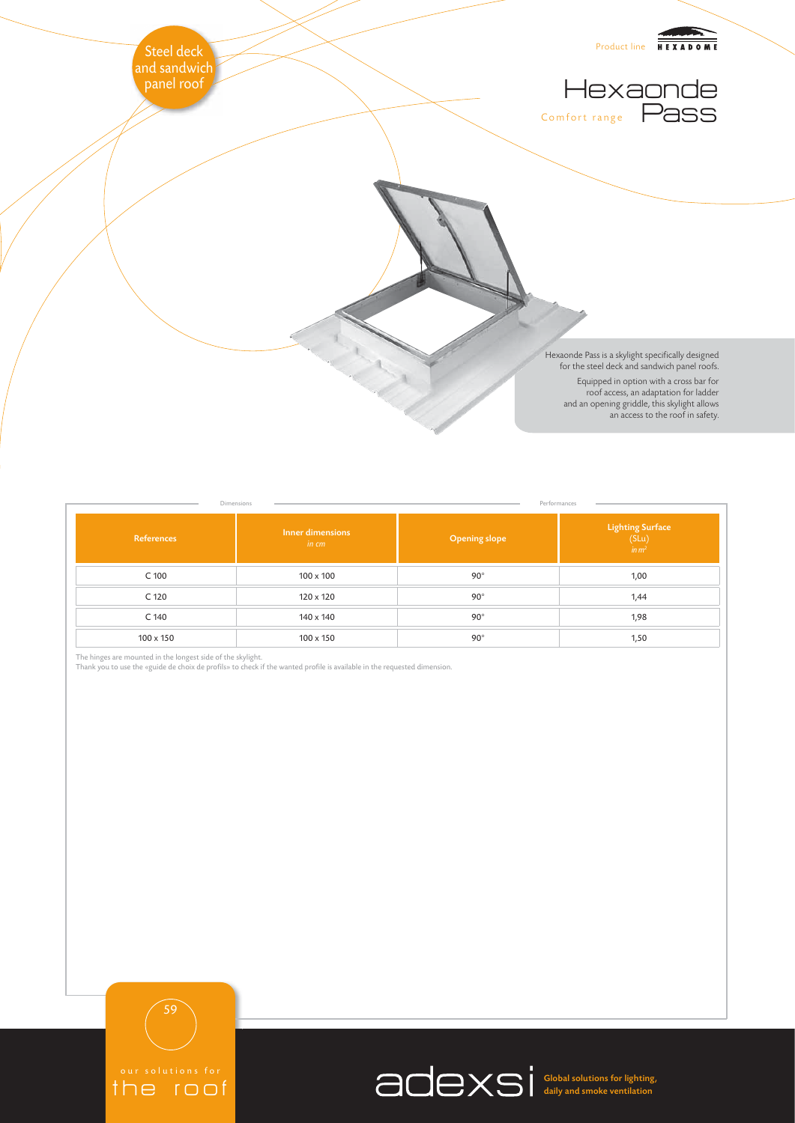

| Dimensions<br>Performances |                           |                      |                                                        |
|----------------------------|---------------------------|----------------------|--------------------------------------------------------|
| References                 | Inner dimensions<br>in cm | <b>Opening slope</b> | <b>Lighting Surface</b><br>$(SLu)$<br>$\frac{1}{m}m^2$ |
| C 100                      | $100 \times 100$          | $90^\circ$           | 1,00                                                   |
| C 120                      | 120 x 120                 | $90^\circ$           | 1,44                                                   |
| C 140                      | 140 x 140                 | $90^\circ$           | 1,98                                                   |
| $100 \times 150$           | $100 \times 150$          | $90^\circ$           | 1,50                                                   |

The hinges are mounted in the longest side of the skylight.<br>Thank you to use the «guide de choix de profils» to check if the wanted profile is available in the requested dimension.



the roof

Global solutions for lighting, daily and smoke ventilation